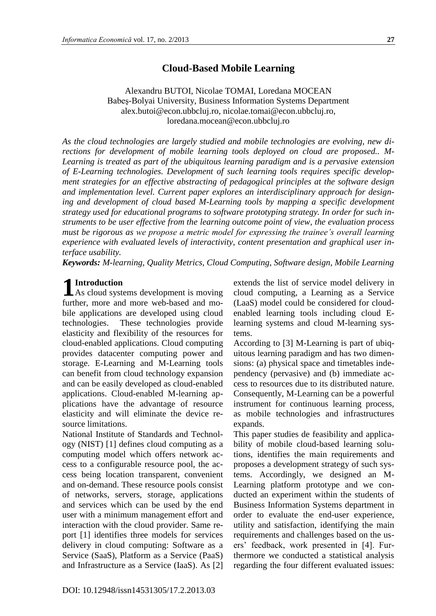## **Cloud-Based Mobile Learning**

Alexandru BUTOI, Nicolae TOMAI, Loredana MOCEAN Babeş-Bolyai University, Business Information Systems Department alex.butoi@econ.ubbcluj.ro, nicolae.tomai@econ.ubbcluj.ro, loredana.mocean@econ.ubbcluj.ro

*As the cloud technologies are largely studied and mobile technologies are evolving, new directions for development of mobile learning tools deployed on cloud are proposed.. M-Learning is treated as part of the ubiquitous learning paradigm and is a pervasive extension of E-Learning technologies. Development of such learning tools requires specific development strategies for an effective abstracting of pedagogical principles at the software design and implementation level. Current paper explores an interdisciplinary approach for designing and development of cloud based M-Learning tools by mapping a specific development strategy used for educational programs to software prototyping strategy. In order for such instruments to be user effective from the learning outcome point of view, the evaluation process must be rigorous as we propose a metric model for expressing the trainee's overall learning experience with evaluated levels of interactivity, content presentation and graphical user interface usability.*

*Keywords: M-learning, Quality Metrics, Cloud Computing, Software design, Mobile Learning*

# **Introduction**

**1** Introduction<br>As cloud systems development is moving further, more and more web-based and mobile applications are developed using cloud technologies. These technologies provide elasticity and flexibility of the resources for cloud-enabled applications. Cloud computing provides datacenter computing power and storage. E-Learning and M-Learning tools can benefit from cloud technology expansion and can be easily developed as cloud-enabled applications. Cloud-enabled M-learning applications have the advantage of resource elasticity and will eliminate the device resource limitations.

National Institute of Standards and Technology (NIST) [1] defines cloud computing as a computing model which offers network access to a configurable resource pool, the access being location transparent, convenient and on-demand. These resource pools consist of networks, servers, storage, applications and services which can be used by the end user with a minimum management effort and interaction with the cloud provider. Same report [1] identifies three models for services delivery in cloud computing: Software as a Service (SaaS), Platform as a Service (PaaS) and Infrastructure as a Service (IaaS). As [2]

DOI: 10.12948/issn14531305/17.2.2013.03

extends the list of service model delivery in cloud computing, a Learning as a Service (LaaS) model could be considered for cloudenabled learning tools including cloud Elearning systems and cloud M-learning systems.

According to [3] M-Learning is part of ubiquitous learning paradigm and has two dimensions: (a) physical space and timetables independency (pervasive) and (b) immediate access to resources due to its distributed nature. Consequently, M-Learning can be a powerful instrument for continuous learning process, as mobile technologies and infrastructures expands.

This paper studies de feasibility and applicability of mobile cloud-based learning solutions, identifies the main requirements and proposes a development strategy of such systems. Accordingly, we designed an M-Learning platform prototype and we conducted an experiment within the students of Business Information Systems department in order to evaluate the end-user experience, utility and satisfaction, identifying the main requirements and challenges based on the users' feedback, work presented in [4]. Furthermore we conducted a statistical analysis regarding the four different evaluated issues: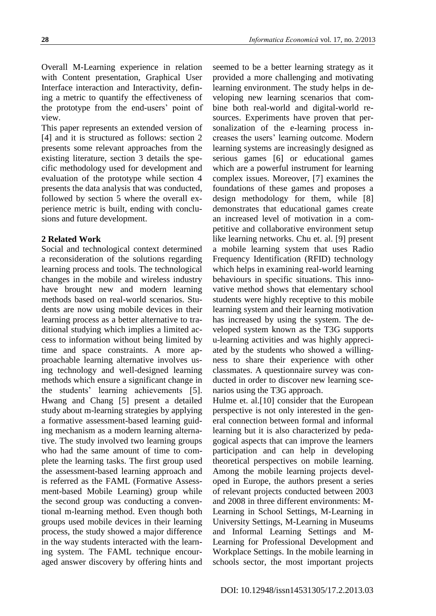Overall M-Learning experience in relation with Content presentation, Graphical User Interface interaction and Interactivity, defining a metric to quantify the effectiveness of the prototype from the end-users' point of view.

This paper represents an extended version of [4] and it is structured as follows: section 2 presents some relevant approaches from the existing literature, section 3 details the specific methodology used for development and evaluation of the prototype while section 4 presents the data analysis that was conducted, followed by section 5 where the overall experience metric is built, ending with conclusions and future development.

## **2 Related Work**

Social and technological context determined a reconsideration of the solutions regarding learning process and tools. The technological changes in the mobile and wireless industry have brought new and modern learning methods based on real-world scenarios. Students are now using mobile devices in their learning process as a better alternative to traditional studying which implies a limited access to information without being limited by time and space constraints. A more approachable learning alternative involves using technology and well-designed learning methods which ensure a significant change in the students' learning achievements [5]. Hwang and Chang [5] present a detailed study about m-learning strategies by applying a formative assessment-based learning guiding mechanism as a modern learning alternative. The study involved two learning groups who had the same amount of time to complete the learning tasks. The first group used the assessment-based learning approach and is referred as the FAML (Formative Assessment-based Mobile Learning) group while the second group was conducting a conventional m-learning method. Even though both groups used mobile devices in their learning process, the study showed a major difference in the way students interacted with the learning system. The FAML technique encouraged answer discovery by offering hints and seemed to be a better learning strategy as it provided a more challenging and motivating learning environment. The study helps in developing new learning scenarios that combine both real-world and digital-world resources. Experiments have proven that personalization of the e-learning process increases the users' learning outcome. Modern learning systems are increasingly designed as serious games [6] or educational games which are a powerful instrument for learning complex issues. Moreover, [7] examines the foundations of these games and proposes a design methodology for them, while [8] demonstrates that educational games create an increased level of motivation in a competitive and collaborative environment setup like learning networks. Chu et. al. [9] present a mobile learning system that uses Radio Frequency Identification (RFID) technology which helps in examining real-world learning behaviours in specific situations. This innovative method shows that elementary school students were highly receptive to this mobile learning system and their learning motivation has increased by using the system. The developed system known as the T3G supports u-learning activities and was highly appreciated by the students who showed a willingness to share their experience with other classmates. A questionnaire survey was conducted in order to discover new learning scenarios using the T3G approach.

Hulme et. al.[10] consider that the European perspective is not only interested in the general connection between formal and informal learning but it is also characterized by pedagogical aspects that can improve the learners participation and can help in developing theoretical perspectives on mobile learning. Among the mobile learning projects developed in Europe, the authors present a series of relevant projects conducted between 2003 and 2008 in three different environments: M-Learning in School Settings, M-Learning in University Settings, M-Learning in Museums and Informal Learning Settings and M-Learning for Professional Development and Workplace Settings. In the mobile learning in schools sector, the most important projects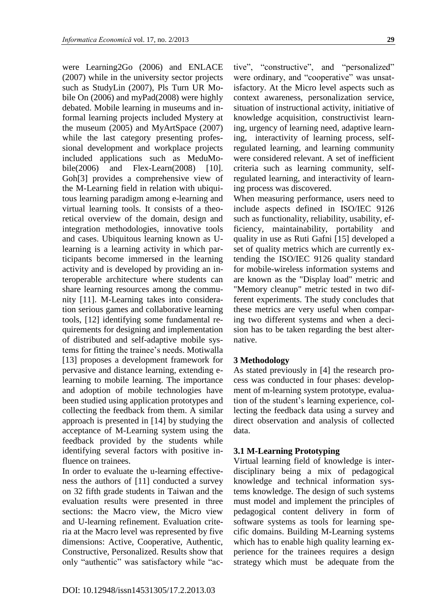were Learning2Go (2006) and ENLACE (2007) while in the university sector projects such as StudyLin (2007), Pls Turn UR Mobile On (2006) and myPad(2008) were highly debated. Mobile learning in museums and informal learning projects included Mystery at the museum (2005) and MyArtSpace (2007) while the last category presenting professional development and workplace projects included applications such as MeduMobile(2006) and Flex-Learn(2008)  $[10]$ . Goh[3] provides a comprehensive view of the M-Learning field in relation with ubiquitous learning paradigm among e-learning and virtual learning tools. It consists of a theoretical overview of the domain, design and integration methodologies, innovative tools and cases. Ubiquitous learning known as Ulearning is a learning activity in which participants become immersed in the learning activity and is developed by providing an interoperable architecture where students can share learning resources among the community [11]. M-Learning takes into consideration serious games and collaborative learning tools, [12] identifying some fundamental requirements for designing and implementation of distributed and self-adaptive mobile systems for fitting the trainee's needs. Motiwalla [13] proposes a development framework for pervasive and distance learning, extending elearning to mobile learning. The importance and adoption of mobile technologies have been studied using application prototypes and collecting the feedback from them. A similar approach is presented in [14] by studying the acceptance of M-Learning system using the feedback provided by the students while identifying several factors with positive influence on trainees.

In order to evaluate the u-learning effectiveness the authors of [11] conducted a survey on 32 fifth grade students in Taiwan and the evaluation results were presented in three sections: the Macro view, the Micro view and U-learning refinement. Evaluation criteria at the Macro level was represented by five dimensions: Active, Cooperative, Authentic, Constructive, Personalized. Results show that only "authentic" was satisfactory while "ac-

knowledge acquisition, constructivist learning, urgency of learning need, adaptive learning, interactivity of learning process, selfregulated learning, and learning community were considered relevant. A set of inefficient criteria such as learning community, selfregulated learning, and interactivity of learning process was discovered. When measuring performance, users need to include aspects defined in ISO/IEC 9126 such as functionality, reliability, usability, efficiency, maintainability, portability and quality in use as Ruti Gafni [15] developed a set of quality metrics which are currently extending the ISO/IEC 9126 quality standard

for mobile-wireless information systems and are known as the "Display load" metric and "Memory cleanup" metric tested in two different experiments. The study concludes that these metrics are very useful when comparing two different systems and when a decision has to be taken regarding the best alternative.

tive", "constructive", and "personalized" were ordinary, and "cooperative" was unsatisfactory. At the Micro level aspects such as context awareness, personalization service, situation of instructional activity, initiative of

#### **3 Methodology**

As stated previously in [4] the research process was conducted in four phases: development of m-learning system prototype, evaluation of the student's learning experience, collecting the feedback data using a survey and direct observation and analysis of collected data.

#### **3.1 M-Learning Prototyping**

Virtual learning field of knowledge is interdisciplinary being a mix of pedagogical knowledge and technical information systems knowledge. The design of such systems must model and implement the principles of pedagogical content delivery in form of software systems as tools for learning specific domains. Building M-Learning systems which has to enable high quality learning experience for the trainees requires a design strategy which must be adequate from the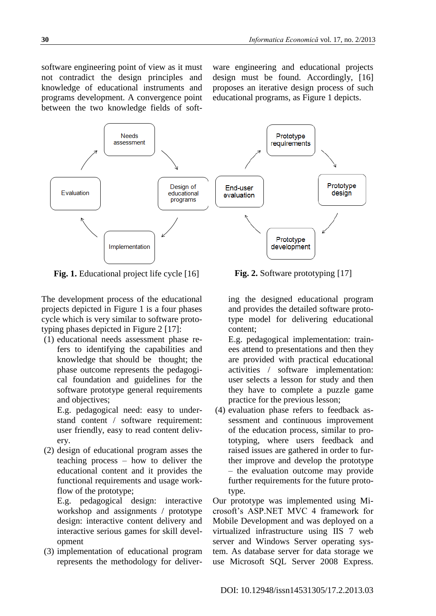software engineering point of view as it must not contradict the design principles and knowledge of educational instruments and programs development. A convergence point between the two knowledge fields of soft-

ware engineering and educational projects design must be found. Accordingly, [16] proposes an iterative design process of such educational programs, as Figure 1 depicts.



**Fig. 1.** Educational project life cycle [16] **Fig. 2.** Software prototyping [17]

The development process of the educational projects depicted in Figure 1 is a four phases cycle which is very similar to software prototyping phases depicted in Figure 2 [17]:

(1) educational needs assessment phase refers to identifying the capabilities and knowledge that should be thought; the phase outcome represents the pedagogical foundation and guidelines for the software prototype general requirements and objectives;

E.g. pedagogical need: easy to understand content / software requirement: user friendly, easy to read content delivery.

(2) design of educational program asses the teaching process – how to deliver the educational content and it provides the functional requirements and usage workflow of the prototype;

E.g. pedagogical design: interactive workshop and assignments / prototype design: interactive content delivery and interactive serious games for skill development

(3) implementation of educational program represents the methodology for deliver-

ing the designed educational program and provides the detailed software prototype model for delivering educational content;

E.g. pedagogical implementation: trainees attend to presentations and then they are provided with practical educational activities / software implementation: user selects a lesson for study and then they have to complete a puzzle game practice for the previous lesson;

(4) evaluation phase refers to feedback assessment and continuous improvement of the education process, similar to prototyping, where users feedback and raised issues are gathered in order to further improve and develop the prototype – the evaluation outcome may provide further requirements for the future prototype.

Our prototype was implemented using Microsoft's ASP.NET MVC 4 framework for Mobile Development and was deployed on a virtualized infrastructure using IIS 7 web server and Windows Server operating system. As database server for data storage we use Microsoft SQL Server 2008 Express.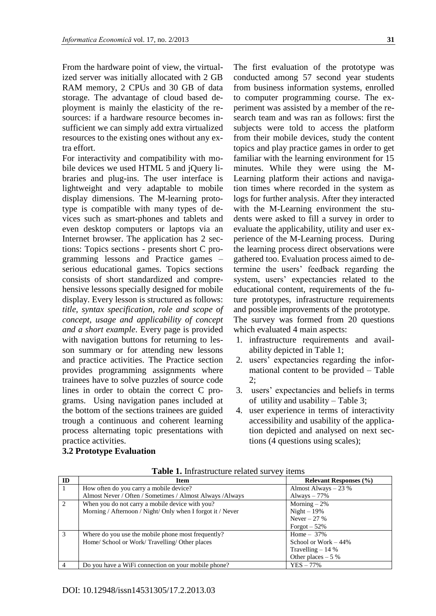From the hardware point of view, the virtualized server was initially allocated with 2 GB RAM memory, 2 CPUs and 30 GB of data storage. The advantage of cloud based deployment is mainly the elasticity of the resources: if a hardware resource becomes insufficient we can simply add extra virtualized resources to the existing ones without any extra effort.

For interactivity and compatibility with mobile devices we used HTML 5 and jQuery libraries and plug-ins. The user interface is lightweight and very adaptable to mobile display dimensions. The M-learning prototype is compatible with many types of devices such as smart-phones and tablets and even desktop computers or laptops via an Internet browser. The application has 2 sections: Topics sections - presents short C programming lessons and Practice games – serious educational games. Topics sections consists of short standardized and comprehensive lessons specially designed for mobile display. Every lesson is structured as follows: *title, syntax specification, role and scope of concept, usage and applicability of concept and a short example*. Every page is provided with navigation buttons for returning to lesson summary or for attending new lessons and practice activities. The Practice section provides programming assignments where trainees have to solve puzzles of source code lines in order to obtain the correct C programs. Using navigation panes included at the bottom of the sections trainees are guided trough a continuous and coherent learning process alternating topic presentations with practice activities.

The first evaluation of the prototype was conducted among 57 second year students from business information systems, enrolled to computer programming course. The experiment was assisted by a member of the research team and was ran as follows: first the subjects were told to access the platform from their mobile devices, study the content topics and play practice games in order to get familiar with the learning environment for 15 minutes. While they were using the M-Learning platform their actions and navigation times where recorded in the system as logs for further analysis. After they interacted with the M-Learning environment the students were asked to fill a survey in order to evaluate the applicability, utility and user experience of the M-Learning process. During the learning process direct observations were gathered too. Evaluation process aimed to determine the users' feedback regarding the system, users' expectancies related to the educational content, requirements of the future prototypes, infrastructure requirements and possible improvements of the prototype. The survey was formed from 20 questions which evaluated 4 main aspects:

- 1. infrastructure requirements and availability depicted in Table 1;
- 2. users' expectancies regarding the informational content to be provided – Table 2;
- 3. users' expectancies and beliefs in terms of utility and usability – Table 3;
- 4. user experience in terms of interactivity accessibility and usability of the application depicted and analysed on next sections (4 questions using scales);

## **3.2 Prototype Evaluation**

| ID            | <b>Item</b>                                                | <b>Relevant Responses</b> (%) |
|---------------|------------------------------------------------------------|-------------------------------|
|               | How often do you carry a mobile device?                    | Almost Always $-23%$          |
|               | Almost Never / Often / Sometimes / Almost Always / Always  | Always $-77%$                 |
| 2             | When you do not carry a mobile device with you?            | Morning $-2\%$                |
|               | Morning / Afternoon / Night/ Only when I forgot it / Never | Night $-19%$                  |
|               |                                                            | Never $-27%$                  |
|               |                                                            | Forgot $-52%$                 |
| $\mathcal{R}$ | Where do you use the mobile phone most frequently?         | Home $-37\%$                  |
|               | Home/ School or Work/Travelling/Other places               | School or Work $-44\%$        |
|               |                                                            | Travelling $-14%$             |
|               |                                                            | Other places $-5%$            |
| 4             | Do you have a WiFi connection on your mobile phone?        | $YES - 77%$                   |

**Table 1.** Infrastructure related survey items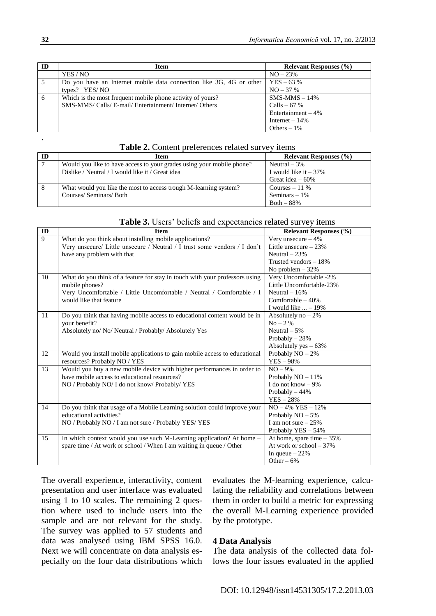| ID | Item                                                                | <b>Relevant Responses</b> (%) |
|----|---------------------------------------------------------------------|-------------------------------|
|    | YES / NO                                                            | $NO - 23%$                    |
| .5 | Do you have an Internet mobile data connection like 3G, 4G or other | $YES - 63 %$                  |
|    | types? YES/NO                                                       | $NO - 37%$                    |
| 6  | Which is the most frequent mobile phone activity of yours?          | $SMS-MMS - 14%$               |
|    | SMS-MMS/ Calls/ E-mail/ Entertainment/ Internet/ Others             | Calls – 67 %                  |
|    |                                                                     | Entertainment $-4\%$          |
|    |                                                                     | Internet $-14\%$              |
|    |                                                                     | Others $-1\%$                 |
|    |                                                                     |                               |

| <b>Table 2.</b> Content preferences related survey items |  |  |  |  |
|----------------------------------------------------------|--|--|--|--|
|----------------------------------------------------------|--|--|--|--|

| ID | Item                                                                  | <b>Relevant Responses</b> (%) |
|----|-----------------------------------------------------------------------|-------------------------------|
|    | Would you like to have access to your grades using your mobile phone? | Neutral $-3\%$                |
|    | Dislike / Neutral / I would like it / Great idea                      | I would like it $-37\%$       |
|    |                                                                       | Great idea $-60\%$            |
| 8  | What would you like the most to access trough M-learning system?      | Courses $-11\%$               |
|    | Courses/Seminars/Both                                                 | Seminars $-1\%$               |
|    |                                                                       | $Both - 88\%$                 |

|  |  |  |  |  | Table 3. Users' beliefs and expectancies related survey items |
|--|--|--|--|--|---------------------------------------------------------------|
|--|--|--|--|--|---------------------------------------------------------------|

| $\overline{ID}$ | <b>Item</b>                                                                 | <b>Relevant Responses</b> (%) |
|-----------------|-----------------------------------------------------------------------------|-------------------------------|
| 9               | What do you think about installing mobile applications?                     | Very unsecure $-4\%$          |
|                 | Very unsecure/ Little unsecure / Neutral / I trust some vendors / I don't   | Little unsecure $-23%$        |
|                 | have any problem with that                                                  | Neutral $-23%$                |
|                 |                                                                             | Trusted vendors $-18%$        |
|                 |                                                                             | No problem $-32%$             |
| 10              | What do you think of a feature for stay in touch with your professors using | Very Uncomfortable -2%        |
|                 | mobile phones?                                                              | Little Uncomfortable-23%      |
|                 | Very Uncomfortable / Little Uncomfortable / Neutral / Comfortable / I       | Neutral $-16%$                |
|                 | would like that feature                                                     | Comfortable $-40%$            |
|                 |                                                                             | I would like $\ldots -19\%$   |
| 11              | Do you think that having mobile access to educational content would be in   | Absolutely no $-2\%$          |
|                 | your benefit?                                                               | $No - 2\%$                    |
|                 | Absolutely no/ No/ Neutral / Probably/ Absolutely Yes                       | Neutral $-5%$                 |
|                 |                                                                             | Probably $-28%$               |
|                 |                                                                             | Absolutely yes $-63%$         |
| 12              | Would you install mobile applications to gain mobile access to educational  | Probably $NO-2%$              |
|                 | resources? Probably NO / YES                                                | $YES - 98%$                   |
| $\overline{13}$ | Would you buy a new mobile device with higher performances in order to      | $NO - 9%$                     |
|                 | have mobile access to educational resources?                                | Probably $NO - 11\%$          |
|                 | NO / Probably NO/ I do not know/ Probably/ YES                              | I do not know $-9\%$          |
|                 |                                                                             | Probably $-44%$               |
|                 |                                                                             | $YES - 28%$                   |
| 14              | Do you think that usage of a Mobile Learning solution could improve your    | $NO - 4\%$ YES $-12\%$        |
|                 | educational activities?                                                     | Probably $NO - 5%$            |
|                 | NO / Probably NO / I am not sure / Probably YES/ YES                        | I am not sure $-25%$          |
|                 |                                                                             | Probably YES - 54%            |
| 15              | In which context would you use such M-Learning application? At home -       | At home, spare time $-35%$    |
|                 | spare time / At work or school / When I am waiting in queue / Other         | At work or school $-37%$      |
|                 |                                                                             | In queue $-22%$               |
|                 |                                                                             | Other $-6\%$                  |

The overall experience, interactivity, content presentation and user interface was evaluated using 1 to 10 scales. The remaining 2 question where used to include users into the sample and are not relevant for the study. The survey was applied to 57 students and data was analysed using IBM SPSS 16.0. Next we will concentrate on data analysis especially on the four data distributions which evaluates the M-learning experience, calculating the reliability and correlations between them in order to build a metric for expressing the overall M-Learning experience provided by the prototype.

### **4 Data Analysis**

The data analysis of the collected data follows the four issues evaluated in the applied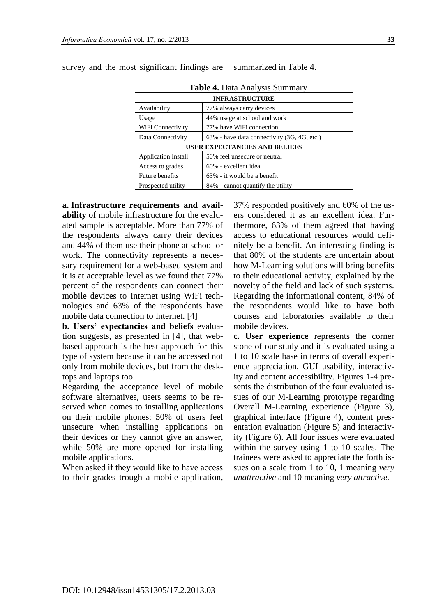| <b>Table 4. Data Analysis Summary</b>                      |                                             |  |
|------------------------------------------------------------|---------------------------------------------|--|
|                                                            | <b>INFRASTRUCTURE</b>                       |  |
| 77% always carry devices<br>Availability                   |                                             |  |
| Usage                                                      | 44% usage at school and work                |  |
| WiFi Connectivity                                          | 77% have WiFi connection                    |  |
| Data Connectivity                                          | 63% - have data connectivity (3G, 4G, etc.) |  |
|                                                            | <b>USER EXPECTANCIES AND BELIEFS</b>        |  |
| 50% feel unsecure or neutral<br><b>Application Install</b> |                                             |  |
| 60% - excellent idea<br>Access to grades                   |                                             |  |
| <b>Future benefits</b>                                     | 63% - it would be a benefit                 |  |
| Prospected utility                                         | 84% - cannot quantify the utility           |  |

survey and the most significant findings are summarized in Table 4.

**a. Infrastructure requirements and availability** of mobile infrastructure for the evaluated sample is acceptable. More than 77% of the respondents always carry their devices and 44% of them use their phone at school or work. The connectivity represents a necessary requirement for a web-based system and it is at acceptable level as we found that 77% percent of the respondents can connect their mobile devices to Internet using WiFi technologies and 63% of the respondents have mobile data connection to Internet. [4]

**b. Users' expectancies and beliefs** evaluation suggests, as presented in [4], that webbased approach is the best approach for this type of system because it can be accessed not only from mobile devices, but from the desktops and laptops too.

Regarding the acceptance level of mobile software alternatives, users seems to be reserved when comes to installing applications on their mobile phones: 50% of users feel unsecure when installing applications on their devices or they cannot give an answer, while 50% are more opened for installing mobile applications.

When asked if they would like to have access to their grades trough a mobile application, 37% responded positively and 60% of the users considered it as an excellent idea. Furthermore, 63% of them agreed that having access to educational resources would definitely be a benefit. An interesting finding is that 80% of the students are uncertain about how M-Learning solutions will bring benefits to their educational activity, explained by the novelty of the field and lack of such systems. Regarding the informational content, 84% of the respondents would like to have both courses and laboratories available to their mobile devices.

**c. User experience** represents the corner stone of our study and it is evaluated using a 1 to 10 scale base in terms of overall experience appreciation, GUI usability, interactivity and content accessibility. Figures 1-4 presents the distribution of the four evaluated issues of our M-Learning prototype regarding Overall M-Learning experience (Figure 3), graphical interface (Figure 4), content presentation evaluation (Figure 5) and interactivity (Figure 6). All four issues were evaluated within the survey using 1 to 10 scales. The trainees were asked to appreciate the forth issues on a scale from 1 to 10, 1 meaning *very unattractive* and 10 meaning *very attractive.*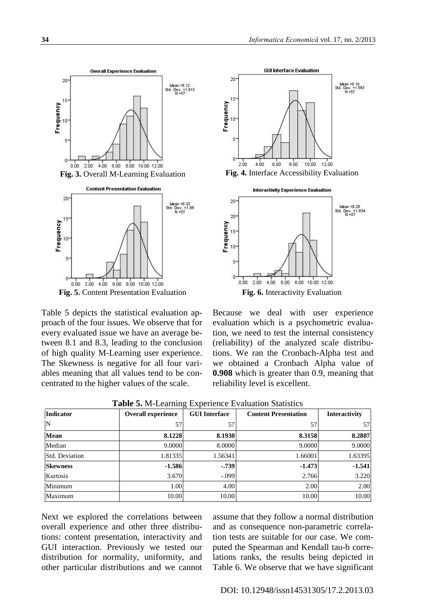

Table 5 depicts the statistical evaluation approach of the four issues. We observe that for every evaluated issue we have an average between 8.1 and 8.3, leading to the conclusion of high quality M-Learning user experience. The Skewness is negative for all four variables meaning that all values tend to be concentrated to the higher values of the scale.





Because we deal with user experience evaluation which is a psychometric evaluation, we need to test the internal consistency (reliability) of the analyzed scale distributions. We ran the Cronbach-Alpha test and we obtained a Cronbach Alpha value of **0.908** which is greater than 0.9, meaning that reliability level is excellent.

| Indicator             | <b>Overall experience</b> | <b>GUI Interface</b> | <b>Content Presentation</b> | Interactivity |
|-----------------------|---------------------------|----------------------|-----------------------------|---------------|
| N                     | 57                        | 57                   | 57                          | 57            |
| <b>Mean</b>           | 8.1228                    | 8.1930               | 8.3158                      | 8.2807        |
| Median                | 9.0000                    | 8.0000               | 9.0000                      | 9.0000        |
| <b>Std. Deviation</b> | 1.81335                   | 1.56341              | 1.66001                     | 1.63395       |
| <b>Skewness</b>       | $-1.586$                  | $-0.739$             | $-1.473$                    | $-1.541$      |
| Kurtosis              | 3.670                     | $-.099$              | 2.766                       | 3.220         |
| Minimum               | 1.00                      | 4.00                 | 2.00                        | 2.00          |
| Maximum               | 10.00                     | 10.00                | 10.00                       | 10.00         |

**Table 5.** M-Learning Experience Evaluation Statistics

Next we explored the correlations between overall experience and other three distributions: content presentation, interactivity and GUI interaction. Previously we tested our distribution for normality, uniformity, and other particular distributions and we cannot

assume that they follow a normal distribution and as consequence non-parametric correlation tests are suitable for our case. We computed the Spearman and Kendall tau-b correlations ranks, the results being depicted in Table 6. We observe that we have significant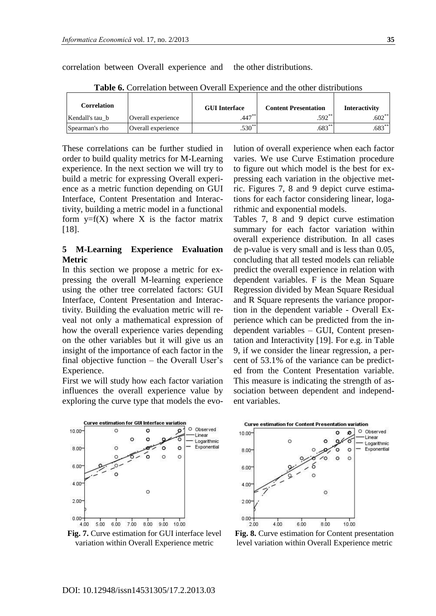correlation between Overall experience and the other distributions.

| Correlation     |                    | <b>GUI Interface</b> | <b>Content Presentation</b> | Interactivity |
|-----------------|--------------------|----------------------|-----------------------------|---------------|
| Kendall's tau b | Overall experience | $.447***$            | $.592**$                    | $.602***$     |
| Spearman's rho  | Overall experience | $.530^{**}$          | $.683***$                   | $.683***$     |

**Table 6.** Correlation between Overall Experience and the other distributions

These correlations can be further studied in order to build quality metrics for M-Learning experience. In the next section we will try to build a metric for expressing Overall experience as a metric function depending on GUI Interface, Content Presentation and Interactivity, building a metric model in a functional form  $y=f(X)$  where X is the factor matrix [18].

### **5 M-Learning Experience Evaluation Metric**

In this section we propose a metric for expressing the overall M-learning experience using the other tree correlated factors: GUI Interface, Content Presentation and Interactivity. Building the evaluation metric will reveal not only a mathematical expression of how the overall experience varies depending on the other variables but it will give us an insight of the importance of each factor in the final objective function – the Overall User's Experience.

First we will study how each factor variation influences the overall experience value by exploring the curve type that models the evolution of overall experience when each factor varies. We use Curve Estimation procedure to figure out which model is the best for expressing each variation in the objective metric. Figures 7, 8 and 9 depict curve estimations for each factor considering linear, logarithmic and exponential models.

Tables 7, 8 and 9 depict curve estimation summary for each factor variation within overall experience distribution. In all cases de p-value is very small and is less than 0.05, concluding that all tested models can reliable predict the overall experience in relation with dependent variables. F is the Mean Square Regression divided by Mean Square Residual and R Square represents the variance proportion in the dependent variable - Overall Experience which can be predicted from the independent variables – GUI, Content presentation and Interactivity [19]. For e.g. in Table 9, if we consider the linear regression, a percent of 53.1% of the variance can be predicted from the Content Presentation variable. This measure is indicating the strength of association between dependent and independent variables.



**Fig. 7.** Curve estimation for GUI interface level variation within Overall Experience metric



**Fig. 8.** Curve estimation for Content presentation level variation within Overall Experience metric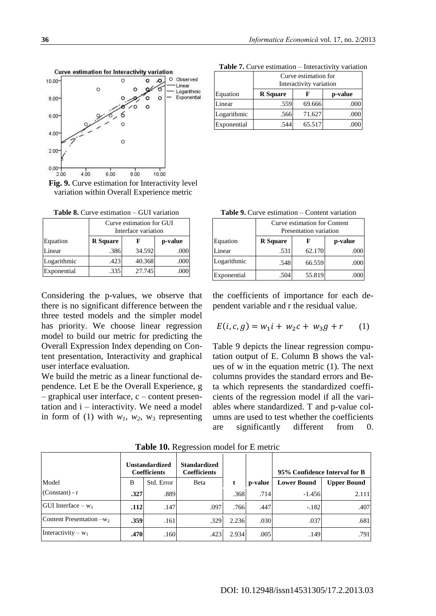Curve estimation for Interactivity variation Observed  $\Omega$ 10.00  $\Omega$  $\mathcal{L}$ Linear  $\Omega$ Logarithmic  $\circ$ Exponential 8.00  $\circ$ 6.00 4.00 C 2.00  $0.00$  $4.00$  $6.00$ 8.00 10.00  $2.00$ 

**Fig. 9.** Curve estimation for Interactivity level variation within Overall Experience metric

**Table 8.** Curve estimation – GUI variation

|             | Curve estimation for GUI<br>Interface variation |        |         |
|-------------|-------------------------------------------------|--------|---------|
| Equation    | <b>R</b> Square                                 |        | p-value |
| Linear      | .386                                            | 34.592 | .000    |
| Logarithmic | .423                                            | 40.368 | .000    |
| Exponential | .335                                            | 27.745 |         |

Considering the p-values, we observe that there is no significant difference between the three tested models and the simpler model has priority. We choose linear regression model to build our metric for predicting the Overall Expression Index depending on Content presentation, Interactivity and graphical user interface evaluation.

We build the metric as a linear functional dependence. Let E be the Overall Experience, g – graphical user interface, c – content presentation and i – interactivity. We need a model in form of (1) with  $w_1$ ,  $w_2$ ,  $w_3$  representing

|             | Curve estimation for<br>Interactivity variation |        |         |
|-------------|-------------------------------------------------|--------|---------|
| Equation    | <b>R</b> Square                                 |        | p-value |
| Linear      | .559                                            | 69.666 | .000    |
| Logarithmic | .566                                            | 71.627 | .000    |
| Exponential |                                                 | 65.517 |         |

**Table 7.** Curve estimation – Interactivity variation

| <b>Table 9.</b> Curve estimation – Content variation |
|------------------------------------------------------|
|------------------------------------------------------|

|             | Curve estimation for Content<br>Presentation variation |        |         |  |  |  |  |  |
|-------------|--------------------------------------------------------|--------|---------|--|--|--|--|--|
| Equation    | <b>R</b> Square                                        |        | p-value |  |  |  |  |  |
| Linear      | .531                                                   | 62.170 | .000    |  |  |  |  |  |
| Logarithmic | .548                                                   | 66.559 | .000    |  |  |  |  |  |
| Exponential | .504                                                   | 55.819 |         |  |  |  |  |  |

the coefficients of importance for each dependent variable and r the residual value.

$$
E(i, c, g) = w_1 i + w_2 c + w_3 g + r \qquad (1)
$$

Table 9 depicts the linear regression computation output of E. Column B shows the values of w in the equation metric (1). The next columns provides the standard errors and Beta which represents the standardized coefficients of the regression model if all the variables where standardized. T and p-value columns are used to test whether the coefficients are significantly different from 0.

|                             | <b>Unstandardized</b><br><b>Coefficients</b> |            | <b>Standardized</b><br><b>Coefficients</b> |       |         | 95% Confidence Interval for B |                    |
|-----------------------------|----------------------------------------------|------------|--------------------------------------------|-------|---------|-------------------------------|--------------------|
| Model                       | B                                            | Std. Error | Beta                                       |       | p-value | <b>Lower Bound</b>            | <b>Upper Bound</b> |
| $(Constant) - r$            | .327                                         | .889       |                                            | .368  | .714    | $-1.456$                      | 2.111              |
| GUI Interface – $w_3$       | .112                                         | .147       | .097                                       | .766  | .447    | $-.182$                       | .407               |
| Content Presentation $-w_2$ | .359                                         | .161       | .329                                       | 2.236 | .030    | .037                          | .681               |
| Interactivity – $w_1$       | .470                                         | .160       | .423                                       | 2.934 | .005    | .149                          | .791               |

**Table 10.** Regression model for E metric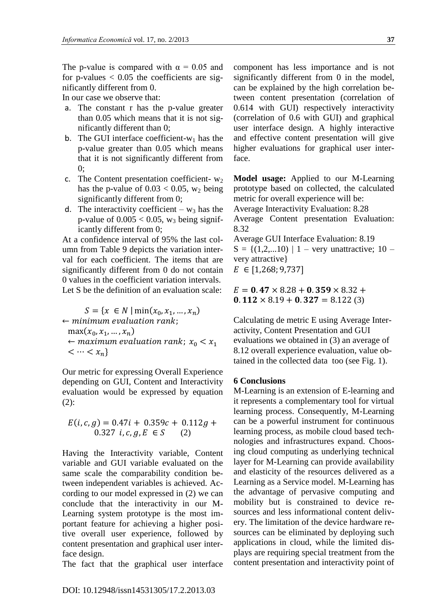The p-value is compared with  $\alpha = 0.05$  and for p-values  $< 0.05$  the coefficients are significantly different from 0.

In our case we observe that:

- a. The constant r has the p-value greater than 0.05 which means that it is not significantly different than 0;
- b. The GUI interface coefficient- $w_1$  has the p-value greater than 0.05 which means that it is not significantly different from  $0:$
- c. The Content presentation coefficient- $w_2$ has the p-value of  $0.03 < 0.05$ , w<sub>2</sub> being significantly different from 0;
- d. The interactivity coefficient  $w_3$  has the p-value of  $0.005 < 0.05$ , w<sub>3</sub> being significantly different from 0;

At a confidence interval of 95% the last column from Table 9 depicts the variation interval for each coefficient. The items that are significantly different from 0 do not contain 0 values in the coefficient variation intervals. Let S be the definition of an evaluation scale:

$$
S = \{x \in N \mid \min(x_0, x_1, \dots, x_n) \}
$$
  
\n
$$
\leftarrow \text{minimum evaluation rank};
$$
  
\n
$$
\max(x_0, x_1, \dots, x_n)
$$
  
\n
$$
\leftarrow \text{maximum evaluation rank}; x_0 < x_1
$$
  
\n
$$
\leftarrow \cdots < x_n\}
$$

Our metric for expressing Overall Experience depending on GUI, Content and Interactivity evaluation would be expressed by equation (2):

$$
E(i, c, g) = 0.47i + 0.359c + 0.112g + 0.327 i, c, g, E \in S
$$
 (2)

Having the Interactivity variable, Content variable and GUI variable evaluated on the same scale the comparability condition between independent variables is achieved. According to our model expressed in (2) we can conclude that the interactivity in our M-Learning system prototype is the most important feature for achieving a higher positive overall user experience, followed by content presentation and graphical user interface design.

The fact that the graphical user interface

component has less importance and is not significantly different from 0 in the model, can be explained by the high correlation between content presentation (correlation of 0.614 with GUI) respectively interactivity (correlation of 0.6 with GUI) and graphical user interface design. A highly interactive and effective content presentation will give higher evaluations for graphical user interface.

**Model usage:** Applied to our M-Learning prototype based on collected, the calculated metric for overall experience will be:

Average Interactivity Evaluation: 8.28 Average Content presentation Evaluation: 8.32

Average GUI Interface Evaluation: 8.19  $S = \{(1, 2, \ldots 10) \mid 1 - \text{very unattractive}; 10 - \}$ very attractive}  $E \in [1,268; 9,737]$ 

 $E = 0.47 \times 8.28 + 0.359 \times 8.32 +$  $0.112 \times 8.19 + 0.327 = 8.122(3)$ 

Calculating de metric E using Average Interactivity, Content Presentation and GUI evaluations we obtained in (3) an average of 8.12 overall experience evaluation, value obtained in the collected data too (see Fig. 1).

#### **6 Conclusions**

M-Learning is an extension of E-learning and it represents a complementary tool for virtual learning process. Consequently, M-Learning can be a powerful instrument for continuous learning process, as mobile cloud based technologies and infrastructures expand. Choosing cloud computing as underlying technical layer for M-Learning can provide availability and elasticity of the resources delivered as a Learning as a Service model. M-Learning has the advantage of pervasive computing and mobility but is constrained to device resources and less informational content delivery. The limitation of the device hardware resources can be eliminated by deploying such applications in cloud, while the limited displays are requiring special treatment from the content presentation and interactivity point of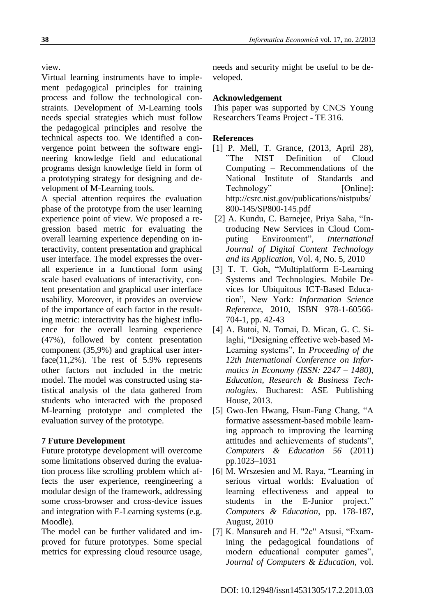view.

Virtual learning instruments have to implement pedagogical principles for training process and follow the technological constraints. Development of M-Learning tools needs special strategies which must follow the pedagogical principles and resolve the technical aspects too. We identified a convergence point between the software engineering knowledge field and educational programs design knowledge field in form of a prototyping strategy for designing and development of M-Learning tools.

A special attention requires the evaluation phase of the prototype from the user learning experience point of view. We proposed a regression based metric for evaluating the overall learning experience depending on interactivity, content presentation and graphical user interface. The model expresses the overall experience in a functional form using scale based evaluations of interactivity, content presentation and graphical user interface usability. Moreover, it provides an overview of the importance of each factor in the resulting metric: interactivity has the highest influence for the overall learning experience (47%), followed by content presentation component (35,9%) and graphical user interface( $11,2\%$ ). The rest of 5.9% represents other factors not included in the metric model. The model was constructed using statistical analysis of the data gathered from students who interacted with the proposed M-learning prototype and completed the evaluation survey of the prototype.

## **7 Future Development**

Future prototype development will overcome some limitations observed during the evaluation process like scrolling problem which affects the user experience, reengineering a modular design of the framework, addressing some cross-browser and cross-device issues and integration with E-Learning systems (e.g. Moodle).

The model can be further validated and improved for future prototypes. Some special metrics for expressing cloud resource usage, needs and security might be useful to be developed.

## **Acknowledgement**

This paper was supported by CNCS Young Researchers Teams Project - TE 316.

## **References**

- [1] P. Mell, T. Grance, (2013, April 28), "The NIST Definition of Cloud Computing – Recommendations of the National Institute of Standards and Technology" [Online]: http://csrc.nist.gov/publications/nistpubs/ 800-145/SP800-145.pdf
- [2] A. Kundu, C. Barnejee, Priya Saha, "Introducing New Services in Cloud Computing Environment", *International Journal of Digital Content Technology and its Application*, Vol. 4, No. 5, 2010
- [3] T. T. Goh, "Multiplatform E-Learning Systems and Technologies. Mobile Devices for Ubiquitous ICT-Based Education", New York*: Information Science Reference*, 2010, ISBN 978-1-60566- 704-1, pp. 42-43
- [4] A. Butoi, N. Tomai, D. Mican, G. C. Silaghi, "Designing effective web-based M-Learning systems", In *Proceeding of the 12th International Conference on Informatics in Economy (ISSN: 2247 – 1480), Education, Research & Business Technologies*. Bucharest: ASE Publishing House, 2013.
- [5] Gwo-Jen Hwang, Hsun-Fang Chang, "A formative assessment-based mobile learning approach to improving the learning attitudes and achievements of students", *Computers & Education 56* (2011) pp.1023–1031
- [6] M. Wrszesien and M. Raya, "Learning in serious virtual worlds: Evaluation of learning effectiveness and appeal to students in the E-Junior project." *Computers & Education*, pp. 178-187, August, 2010
- [7] K. Mansureh and H. "2c" Atsusi, "Examining the pedagogical foundations of modern educational computer games", *Journal of Computers & Education*, vol.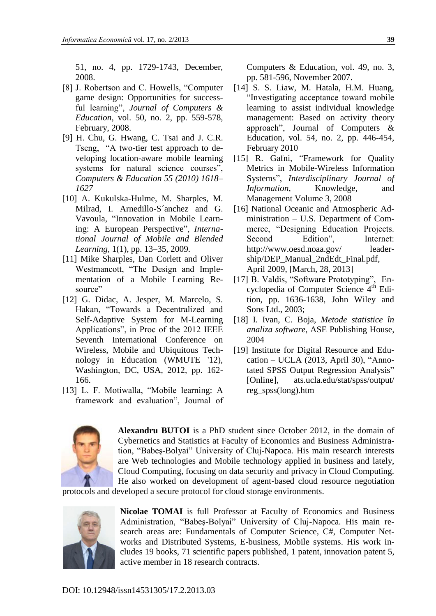51, no. 4, pp. 1729-1743, December, 2008.

- [8] J. Robertson and C. Howells, "Computer game design: Opportunities for successful learning", *Journal of Computers & Education*, vol. 50, no. 2, pp. 559-578, February, 2008.
- [9] H. Chu, G. Hwang, C. Tsai and J. C.R. Tseng, "A two-tier test approach to developing location-aware mobile learning systems for natural science courses", *Computers & Education 55 (2010) 1618– 1627*
- [10] A. Kukulska-Hulme, M. Sharples, M. Milrad, I. Arnedillo-S´anchez and G. Vavoula, "Innovation in Mobile Learning: A European Perspective", *International Journal of Mobile and Blended Learning*, 1(1), pp. 13–35, 2009.
- [11] Mike Sharples, Dan Corlett and Oliver Westmancott, "The Design and Implementation of a Mobile Learning Resource"
- [12] G. Didac, A. Jesper, M. Marcelo, S. Hakan, "Towards a Decentralized and Self-Adaptive System for M-Learning Applications", in Proc of the 2012 IEEE Seventh International Conference on Wireless, Mobile and Ubiquitous Technology in Education (WMUTE '12), Washington, DC, USA, 2012, pp. 162- 166.
- [13] L. F. Motiwalla, "Mobile learning: A framework and evaluation", Journal of

Computers & Education, vol. 49, no. 3, pp. 581-596, November 2007.

- [14] S. S. Liaw, M. Hatala, H.M. Huang, "Investigating acceptance toward mobile learning to assist individual knowledge management: Based on activity theory approach", Journal of Computers & Education, vol. 54, no. 2, pp. 446-454, February 2010
- [15] R. Gafni, "Framework for Quality" Metrics in Mobile-Wireless Information Systems", *Interdisciplinary Journal of Information*, Knowledge, and Management Volume 3, 2008
- [16] National Oceanic and Atmospheric Administration – U.S. Department of Commerce, "Designing Education Projects. Second Edition", Internet: http://www.oesd.noaa.gov/ leadership/DEP\_Manual\_2ndEdt\_Final.pdf, April 2009, [March, 28, 2013]
- [17] B. Valdis, "Software Prototyping", Encyclopedia of Computer Science 4<sup>th</sup> Edition, pp. 1636-1638, John Wiley and Sons Ltd., 2003;
- [18] I. Ivan, C. Boja, *Metode statistice în analiza software*, ASE Publishing House, 2004
- [19] Institute for Digital Resource and Education – UCLA (2013, April 30), "Annotated SPSS Output Regression Analysis" [Online], ats.ucla.edu/stat/spss/output/ reg\_spss(long).htm



**Alexandru BUTOI** is a PhD student since October 2012, in the domain of Cybernetics and Statistics at Faculty of Economics and Business Administration, "Babeş-Bolyai" University of Cluj-Napoca. His main research interests are Web technologies and Mobile technology applied in business and lately, Cloud Computing, focusing on data security and privacy in Cloud Computing. He also worked on development of agent-based cloud resource negotiation

protocols and developed a secure protocol for cloud storage environments.



**Nicolae TOMAI** is full Professor at Faculty of Economics and Business Administration, "Babeş-Bolyai" University of Cluj-Napoca. His main research areas are: Fundamentals of Computer Science, C#, Computer Networks and Distributed Systems, E-business, Mobile systems. His work includes 19 books, 71 scientific papers published, 1 patent, innovation patent 5, active member in 18 research contracts.